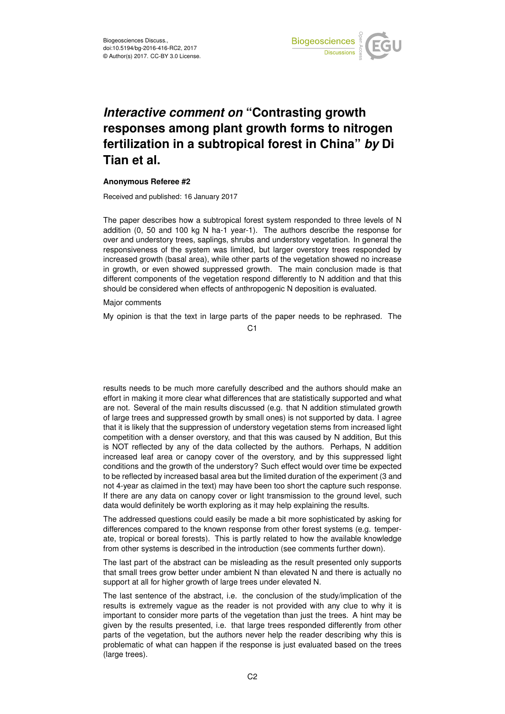

## *Interactive comment on* **"Contrasting growth responses among plant growth forms to nitrogen fertilization in a subtropical forest in China"** *by* **Di Tian et al.**

## **Anonymous Referee #2**

Received and published: 16 January 2017

The paper describes how a subtropical forest system responded to three levels of N addition (0, 50 and 100 kg N ha-1 year-1). The authors describe the response for over and understory trees, saplings, shrubs and understory vegetation. In general the responsiveness of the system was limited, but larger overstory trees responded by increased growth (basal area), while other parts of the vegetation showed no increase in growth, or even showed suppressed growth. The main conclusion made is that different components of the vegetation respond differently to N addition and that this should be considered when effects of anthropogenic N deposition is evaluated.

## Major comments

My opinion is that the text in large parts of the paper needs to be rephrased. The

 $C<sub>1</sub>$ 

results needs to be much more carefully described and the authors should make an effort in making it more clear what differences that are statistically supported and what are not. Several of the main results discussed (e.g. that N addition stimulated growth of large trees and suppressed growth by small ones) is not supported by data. I agree that it is likely that the suppression of understory vegetation stems from increased light competition with a denser overstory, and that this was caused by N addition, But this is NOT reflected by any of the data collected by the authors. Perhaps, N addition increased leaf area or canopy cover of the overstory, and by this suppressed light conditions and the growth of the understory? Such effect would over time be expected to be reflected by increased basal area but the limited duration of the experiment (3 and not 4-year as claimed in the text) may have been too short the capture such response. If there are any data on canopy cover or light transmission to the ground level, such data would definitely be worth exploring as it may help explaining the results.

The addressed questions could easily be made a bit more sophisticated by asking for differences compared to the known response from other forest systems (e.g. temperate, tropical or boreal forests). This is partly related to how the available knowledge from other systems is described in the introduction (see comments further down).

The last part of the abstract can be misleading as the result presented only supports that small trees grow better under ambient N than elevated N and there is actually no support at all for higher growth of large trees under elevated N.

The last sentence of the abstract, i.e. the conclusion of the study/implication of the results is extremely vague as the reader is not provided with any clue to why it is important to consider more parts of the vegetation than just the trees. A hint may be given by the results presented, i.e. that large trees responded differently from other parts of the vegetation, but the authors never help the reader describing why this is problematic of what can happen if the response is just evaluated based on the trees (large trees).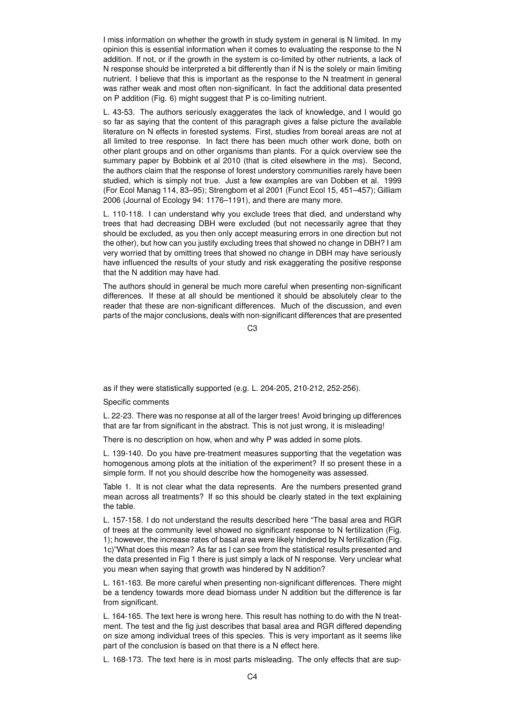I miss information on whether the growth in study system in general is N limited. In my opinion this is essential information when it comes to evaluating the response to the N addition. If not, or if the growth in the system is co-limited by other nutrients, a lack of N response should be interpreted a bit differently than if N is the solely or main limiting nutrient. I believe that this is important as the response to the N treatment in general was rather weak and most often non-significant. In fact the additional data presented on P addition (Fig. 6) might suggest that P is co-limiting nutrient.

L. 43-53. The authors seriously exaggerates the lack of knowledge, and I would go so far as saying that the content of this paragraph gives a false picture the available literature on N effects in forested systems. First, studies from boreal areas are not at all limited to tree response. In fact there has been much other work done, both on other plant groups and on other organisms than plants. For a quick overview see the summary paper by Bobbink et al 2010 (that is cited elsewhere in the ms). Second, the authors claim that the response of forest understory communities rarely have been studied, which is simply not true. Just a few examples are van Dobben et al. 1999 (For Ecol Manag 114, 83–95); Strengbom et al 2001 (Funct Ecol 15, 451–457); Gilliam 2006 (Journal of Ecology 94: 1176–1191), and there are many more.

L. 110-118. I can understand why you exclude trees that died, and understand why trees that had decreasing DBH were excluded (but not necessarily agree that they should be excluded, as you then only accept measuring errors in one direction but not the other), but how can you justify excluding trees that showed no change in DBH? I am very worried that by omitting trees that showed no change in DBH may have seriously have influenced the results of your study and risk exaggerating the positive response that the N addition may have had.

The authors should in general be much more careful when presenting non-significant differences. If these at all should be mentioned it should be absolutely clear to the reader that these are non-significant differences. Much of the discussion, and even parts of the major conclusions, deals with non-significant differences that are presented

 $C<sub>3</sub>$ 

as if they were statistically supported (e.g. L. 204-205, 210-212, 252-256).

Specific comments

L. 22-23. There was no response at all of the larger trees! Avoid bringing up differences that are far from significant in the abstract. This is not just wrong, it is misleading!

There is no description on how, when and why P was added in some plots.

L. 139-140. Do you have pre-treatment measures supporting that the vegetation was homogenous among plots at the initiation of the experiment? If so present these in a simple form. If not you should describe how the homogeneity was assessed.

Table 1. It is not clear what the data represents. Are the numbers presented grand mean across all treatments? If so this should be clearly stated in the text explaining the table.

L. 157-158. I do not understand the results described here "The basal area and RGR of trees at the community level showed no significant response to N fertilization (Fig. 1); however, the increase rates of basal area were likely hindered by N fertilization (Fig. 1c)"What does this mean? As far as I can see from the statistical results presented and the data presented in Fig 1 there is just simply a lack of N response. Very unclear what you mean when saying that growth was hindered by N addition?

L. 161-163. Be more careful when presenting non-significant differences. There might be a tendency towards more dead biomass under N addition but the difference is far from significant.

L. 164-165. The text here is wrong here. This result has nothing to do with the N treatment. The test and the fig just describes that basal area and RGR differed depending on size among individual trees of this species. This is very important as it seems like part of the conclusion is based on that there is a N effect here.

L. 168-173. The text here is in most parts misleading. The only effects that are sup-